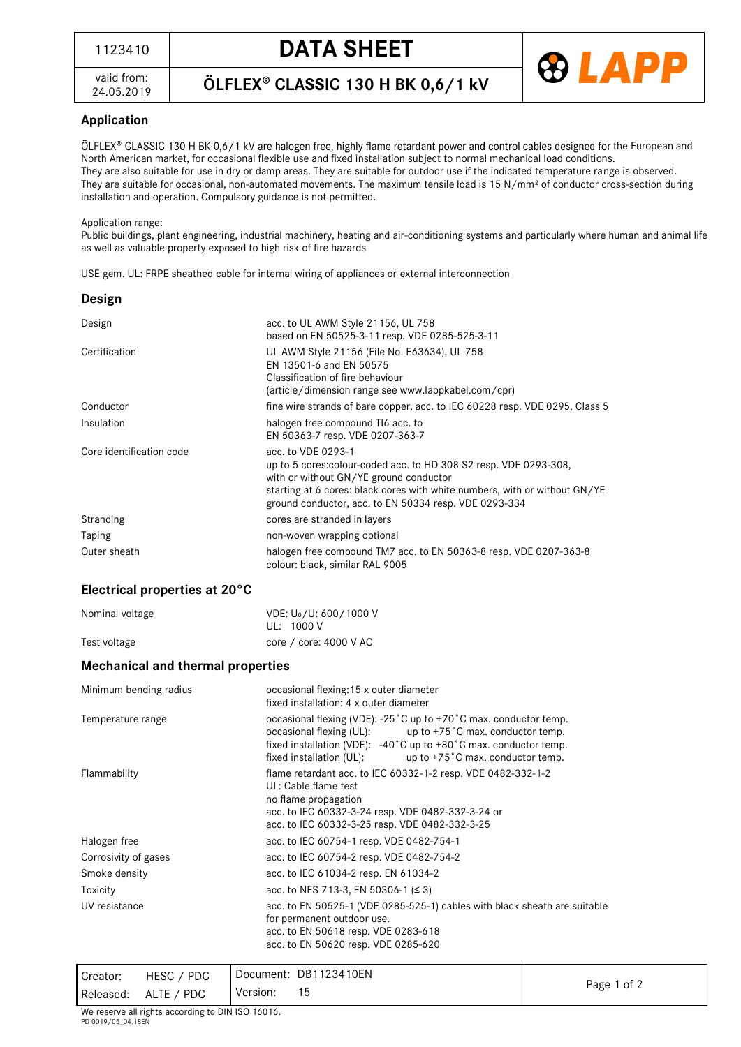valid from: 24.05.2019 ÖLFLEX® CLASSIC 130 H BK 0,6/1 kV



## **Application**

ÖLFLEX® CLASSIC 130 H BK 0,6/1 kV are halogen free, highly flame retardant power and control cables designed for the European and North American market, for occasional flexible use and fixed installation subject to normal mechanical load conditions. They are also suitable for use in dry or damp areas. They are suitable for outdoor use if the indicated temperature range is observed. They are suitable for occasional, non-automated movements. The maximum tensile load is 15 N/mm² of conductor cross-section during installation and operation. Compulsory guidance is not permitted.

#### Application range:

Public buildings, plant engineering, industrial machinery, heating and air-conditioning systems and particularly where human and animal life as well as valuable property exposed to high risk of fire hazards

USE gem. UL: FRPE sheathed cable for internal wiring of appliances or external interconnection

| Design                   |                                                                                                                                                                                                                                                                          |
|--------------------------|--------------------------------------------------------------------------------------------------------------------------------------------------------------------------------------------------------------------------------------------------------------------------|
| Design                   | acc. to UL AWM Style 21156, UL 758<br>based on EN 50525-3-11 resp. VDE 0285-525-3-11                                                                                                                                                                                     |
| Certification            | UL AWM Style 21156 (File No. E63634), UL 758<br>EN 13501-6 and EN 50575<br>Classification of fire behaviour<br>(article/dimension range see www.lappkabel.com/cpr)                                                                                                       |
| Conductor                | fine wire strands of bare copper, acc. to IEC 60228 resp. VDE 0295, Class 5                                                                                                                                                                                              |
| Insulation               | halogen free compound T16 acc. to<br>EN 50363-7 resp. VDE 0207-363-7                                                                                                                                                                                                     |
| Core identification code | acc. to VDE 0293-1<br>up to 5 cores: colour-coded acc. to HD 308 S2 resp. VDE 0293-308,<br>with or without GN/YE ground conductor<br>starting at 6 cores: black cores with white numbers, with or without GN/YE<br>ground conductor, acc. to EN 50334 resp. VDE 0293-334 |
| Stranding                | cores are stranded in layers                                                                                                                                                                                                                                             |
| Taping                   | non-woven wrapping optional                                                                                                                                                                                                                                              |
| Outer sheath             | halogen free compound TM7 acc. to EN 50363-8 resp. VDE 0207-363-8<br>colour: black, similar RAL 9005                                                                                                                                                                     |

### **Electrical properties at 20°C**

| Nominal voltage | VDE: U <sub>0</sub> /U: 600/1000 V |
|-----------------|------------------------------------|
|                 | UL: 1000 V                         |
| Test voltage    | core / core: $4000$ V AC           |

### **Mechanical and thermal properties**

| Minimum bending radius | occasional flexing: 15 x outer diameter<br>fixed installation: 4 x outer diameter                                                                                                                                                                                                                  |
|------------------------|----------------------------------------------------------------------------------------------------------------------------------------------------------------------------------------------------------------------------------------------------------------------------------------------------|
| Temperature range      | occasional flexing (VDE): -25 °C up to +70 °C max. conductor temp.<br>occasional flexing (UL): $up to +75^\circ C$ max. conductor temp.<br>fixed installation (VDE): $-40^{\circ}$ C up to $+80^{\circ}$ C max. conductor temp.<br>up to $+75$ °C max. conductor temp.<br>fixed installation (UL): |
| Flammability           | flame retardant acc. to IEC 60332-1-2 resp. VDE 0482-332-1-2<br>UL: Cable flame test<br>no flame propagation<br>acc. to IEC 60332-3-24 resp. VDE 0482-332-3-24 or<br>acc. to IEC 60332-3-25 resp. VDE 0482-332-3-25                                                                                |
| Halogen free           | acc. to IEC 60754-1 resp. VDE 0482-754-1                                                                                                                                                                                                                                                           |
| Corrosivity of gases   | acc. to IEC 60754-2 resp. VDE 0482-754-2                                                                                                                                                                                                                                                           |
| Smoke density          | acc. to IEC 61034-2 resp. EN 61034-2                                                                                                                                                                                                                                                               |
| Toxicity               | acc. to NES 713-3, EN 50306-1 (≤ 3)                                                                                                                                                                                                                                                                |
| UV resistance          | acc. to EN 50525-1 (VDE 0285-525-1) cables with black sheath are suitable<br>for permanent outdoor use.<br>acc. to EN 50618 resp. VDE 0283-618<br>acc. to EN 50620 resp. VDE 0285-620                                                                                                              |

Creator: HESC / PDC Released: ALTE / PDC Document: DB1123410EN Version: <sup>15</sup> Page <sup>1</sup> of <sup>2</sup>